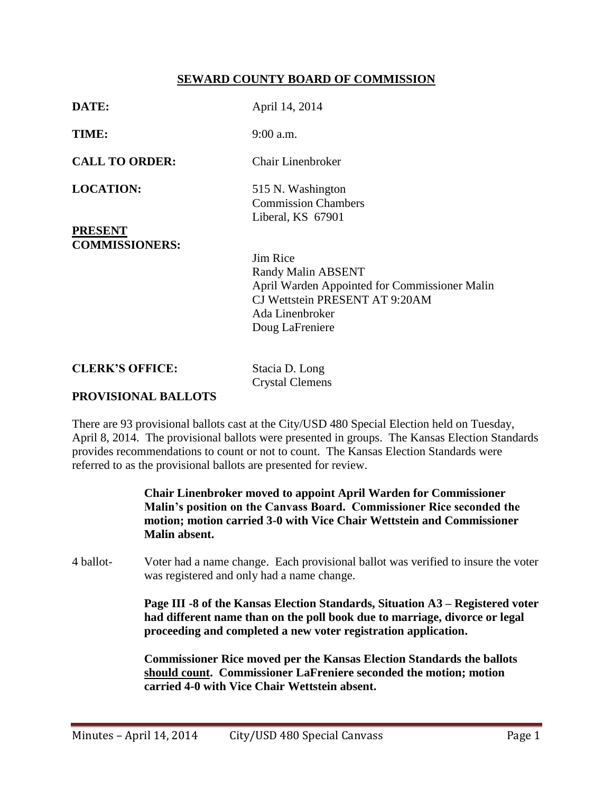## **SEWARD COUNTY BOARD OF COMMISSION**

| DATE:                              | April 14, 2014                                                                                                                                                 |
|------------------------------------|----------------------------------------------------------------------------------------------------------------------------------------------------------------|
| TIME:                              | $9:00$ a.m.                                                                                                                                                    |
| <b>CALL TO ORDER:</b>              | <b>Chair Linenbroker</b>                                                                                                                                       |
| <b>LOCATION:</b><br><b>PRESENT</b> | 515 N. Washington<br><b>Commission Chambers</b><br>Liberal, KS 67901                                                                                           |
| <b>COMMISSIONERS:</b>              | Jim Rice<br><b>Randy Malin ABSENT</b><br>April Warden Appointed for Commissioner Malin<br>CJ Wettstein PRESENT AT 9:20AM<br>Ada Linenbroker<br>Doug LaFreniere |
| <b>CLERK'S OFFICE:</b>             | Stacia D. Long<br><b>Crystal Clemens</b>                                                                                                                       |
| <b>PROVISIONAL BALLOTS</b>         |                                                                                                                                                                |

There are 93 provisional ballots cast at the City/USD 480 Special Election held on Tuesday, April 8, 2014. The provisional ballots were presented in groups. The Kansas Election Standards provides recommendations to count or not to count. The Kansas Election Standards were referred to as the provisional ballots are presented for review.

> **Chair Linenbroker moved to appoint April Warden for Commissioner Malin's position on the Canvass Board. Commissioner Rice seconded the motion; motion carried 3-0 with Vice Chair Wettstein and Commissioner Malin absent.**

4 ballot- Voter had a name change. Each provisional ballot was verified to insure the voter was registered and only had a name change.

> **Page III -8 of the Kansas Election Standards, Situation A3 – Registered voter had different name than on the poll book due to marriage, divorce or legal proceeding and completed a new voter registration application.**

**Commissioner Rice moved per the Kansas Election Standards the ballots should count. Commissioner LaFreniere seconded the motion; motion carried 4-0 with Vice Chair Wettstein absent.**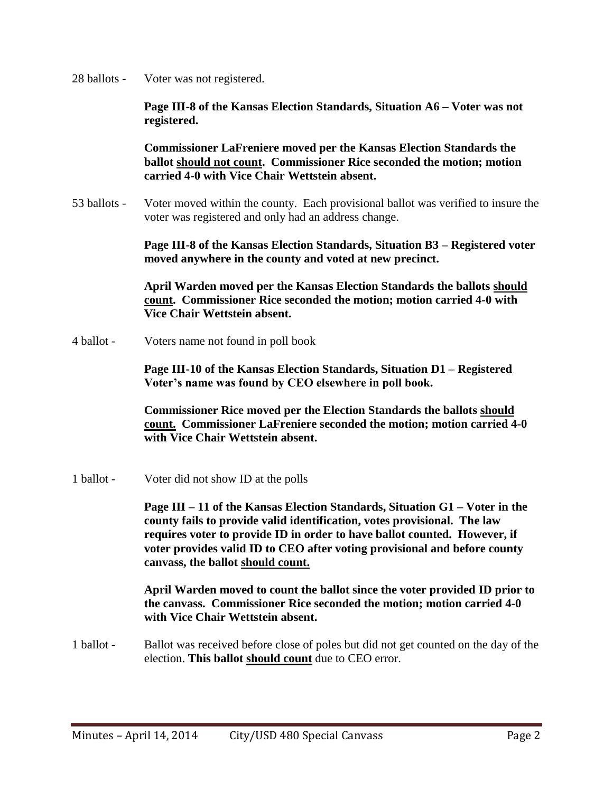28 ballots - Voter was not registered.

**Page III-8 of the Kansas Election Standards, Situation A6 – Voter was not registered.** 

**Commissioner LaFreniere moved per the Kansas Election Standards the ballot should not count. Commissioner Rice seconded the motion; motion carried 4-0 with Vice Chair Wettstein absent.** 

53 ballots - Voter moved within the county. Each provisional ballot was verified to insure the voter was registered and only had an address change.

> **Page III-8 of the Kansas Election Standards, Situation B3 – Registered voter moved anywhere in the county and voted at new precinct.**

**April Warden moved per the Kansas Election Standards the ballots should count. Commissioner Rice seconded the motion; motion carried 4-0 with Vice Chair Wettstein absent.** 

4 ballot - Voters name not found in poll book

**Page III-10 of the Kansas Election Standards, Situation D1 – Registered Voter's name was found by CEO elsewhere in poll book.** 

**Commissioner Rice moved per the Election Standards the ballots should count. Commissioner LaFreniere seconded the motion; motion carried 4-0 with Vice Chair Wettstein absent.** 

1 ballot - Voter did not show ID at the polls

**Page III – 11 of the Kansas Election Standards, Situation G1 – Voter in the county fails to provide valid identification, votes provisional. The law requires voter to provide ID in order to have ballot counted. However, if voter provides valid ID to CEO after voting provisional and before county canvass, the ballot should count.** 

**April Warden moved to count the ballot since the voter provided ID prior to the canvass. Commissioner Rice seconded the motion; motion carried 4-0 with Vice Chair Wettstein absent.**

1 ballot - Ballot was received before close of poles but did not get counted on the day of the election. **This ballot should count** due to CEO error.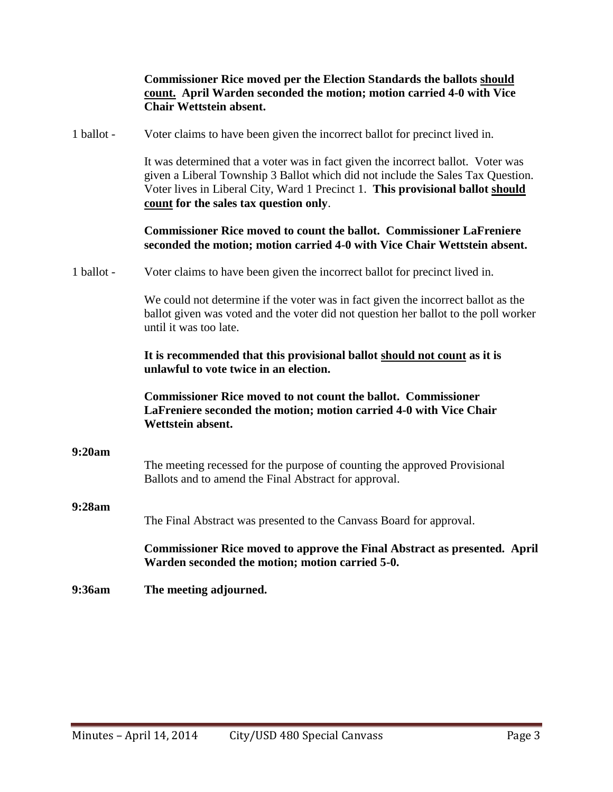|            | <b>Commissioner Rice moved per the Election Standards the ballots should</b><br>count. April Warden seconded the motion; motion carried 4-0 with Vice<br><b>Chair Wettstein absent.</b>                                                                                                         |
|------------|-------------------------------------------------------------------------------------------------------------------------------------------------------------------------------------------------------------------------------------------------------------------------------------------------|
| 1 ballot - | Voter claims to have been given the incorrect ballot for precinct lived in.                                                                                                                                                                                                                     |
|            | It was determined that a voter was in fact given the incorrect ballot. Voter was<br>given a Liberal Township 3 Ballot which did not include the Sales Tax Question.<br>Voter lives in Liberal City, Ward 1 Precinct 1. This provisional ballot should<br>count for the sales tax question only. |
|            | <b>Commissioner Rice moved to count the ballot. Commissioner LaFreniere</b><br>seconded the motion; motion carried 4-0 with Vice Chair Wettstein absent.                                                                                                                                        |
| 1 ballot - | Voter claims to have been given the incorrect ballot for precinct lived in.                                                                                                                                                                                                                     |
|            | We could not determine if the voter was in fact given the incorrect ballot as the<br>ballot given was voted and the voter did not question her ballot to the poll worker<br>until it was too late.                                                                                              |
|            | It is recommended that this provisional ballot should not count as it is<br>unlawful to vote twice in an election.                                                                                                                                                                              |
|            | <b>Commissioner Rice moved to not count the ballot. Commissioner</b><br>LaFreniere seconded the motion; motion carried 4-0 with Vice Chair<br>Wettstein absent.                                                                                                                                 |
| 9:20am     | The meeting recessed for the purpose of counting the approved Provisional<br>Ballots and to amend the Final Abstract for approval.                                                                                                                                                              |
| 9:28am     | The Final Abstract was presented to the Canvass Board for approval.                                                                                                                                                                                                                             |
|            | <b>Commissioner Rice moved to approve the Final Abstract as presented. April</b><br>Warden seconded the motion; motion carried 5-0.                                                                                                                                                             |
| 9:36am     | The meeting adjourned.                                                                                                                                                                                                                                                                          |